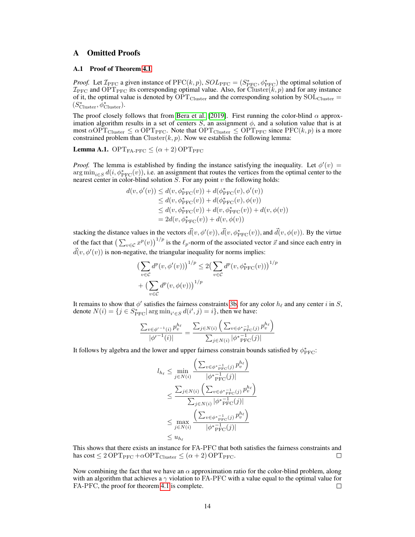# A Omitted Proofs

## A.1 Proof of Theorem 4.1

*Proof.* Let  $\mathcal{I}_{\text{PFC}}$  a given instance of  $\text{PFC}(k, p)$ ,  $SOL_{\text{PFC}} = (S_{\text{PFC}}^*, \phi_{\text{PFC}}^*)$  the optimal solution of  $\mathcal{I}_{\text{PFC}}$  and OPT<sub>PFC</sub> its corresponding optimal value. Also, for Cluster(k, p) and for any instance of it, the optimal value is denoted by  $\widehat{OPT}_{Cluster}$  and the corresponding solution by  $SOL_{Cluster}$  $(S_{\text{Cluster}}^*, \phi_{\text{Cluster}}^*).$ 

The proof closely follows that from Bera et al. [2019]. First running the color-blind  $\alpha$  approximation algorithm results in a set of centers S, an assignment  $\phi$ , and a solution value that is at most  $\alpha$ OPT<sub>Cluster</sub>  $\leq \alpha$  OPT<sub>PFC</sub>. Note that OPT<sub>Cluster</sub>  $\leq$  OPT<sub>PFC</sub> since PFC(k, p) is a more constrained problem than  $Cluster(k, p)$ . Now we establish the following lemma:

<span id="page-0-0"></span>**Lemma A.1.** OPT<sub>FA-PFC</sub>  $\leq (\alpha + 2)$  OPT<sub>PFC</sub>

*Proof.* The lemma is established by finding the instance satisfying the inequality. Let  $\phi'(v)$  =  $\arg \min_{i \in S} d(i, \phi^*_{\text{PFC}}(v))$ , i.e. an assignment that routes the vertices from the optimal center to the nearest center in color-blind solution  $S$ . For any point  $v$  the following holds:

$$
d(v, \phi'(v)) \le d(v, \phi_{\text{PFC}}^*(v)) + d(\phi_{\text{PFC}}^*(v), \phi'(v))
$$
  
\n
$$
\le d(v, \phi_{\text{PFC}}^*(v)) + d(\phi_{\text{PFC}}^*(v), \phi(v))
$$
  
\n
$$
\le d(v, \phi_{\text{PFC}}^*(v)) + d(v, \phi_{\text{PFC}}^*(v)) + d(v, \phi(v))
$$
  
\n
$$
= 2d(v, \phi_{\text{PFC}}^*(v)) + d(v, \phi(v))
$$

stacking the distance values in the vectors  $\vec{d}(v, \phi'(v))$ ,  $\vec{d}(v, \phi_{\text{PFC}}^*(v))$ , and  $\vec{d}(v, \phi(v))$ . By the virtue of the fact that  $\left(\sum_{v \in \mathcal{C}} x^p(v)\right)^{1/p}$  is the  $\ell_p$ -norm of the associated vector  $\vec{x}$  and since each entry in  $\vec{d}(v, \phi'(v))$  is non-negative, the triangular inequality for norms implies:

$$
\left(\sum_{v \in \mathcal{C}} d^p(v, \phi'(v))\right)^{1/p} \le 2\left(\sum_{v \in \mathcal{C}} d^p(v, \phi^*_{\text{PFC}}(v))\right)^{1/p} + \left(\sum_{v \in \mathcal{C}} d^p(v, \phi(v))\right)^{1/p}
$$

It remains to show that  $\phi'$  satisfies the fairness constraints 3b, for any color  $h_\ell$  and any center i in S, denote  $N(i) = \{j \in S^*_{\text{PFC}} | \arg \min_{i' \in S} d(i', j) = i\}$ , then we have:

$$
\frac{\sum_{v \in \phi'^{-1}(i)} p_v^{h_\ell}}{|\phi'^{-1}(i)|} = \frac{\sum_{j \in N(i)} \left( \sum_{v \in \phi^*_{\text{PFC}}(j)} p_v^{h_\ell} \right)}{\sum_{j \in N(i)} |\phi^*_{\text{PFC}}(j)|}
$$

It follows by algebra and the lower and upper fairness constrain bounds satisfied by  $\phi^*_{\text{PFC}}$ :

$$
l_{h_{\ell}} \leq \min_{j \in N(i)} \frac{\left(\sum_{v \in \phi^*_{\text{PFC}}(j)} p_v^{h_{\ell}}\right)}{|\phi^*_{\text{PFC}}(j)|}
$$
  

$$
\leq \frac{\sum_{j \in N(i)} \left(\sum_{v \in \phi^*_{\text{PFC}}(j)} p_v^{h_{\ell}}\right)}{\sum_{j \in N(i)} |\phi^*_{\text{PFC}}(j)|}
$$
  

$$
\leq \max_{j \in N(i)} \frac{\left(\sum_{v \in \phi^*_{\text{PFC}}(j)} p_v^{h_{\ell}}\right)}{|\phi^*_{\text{PFC}}(j)|}
$$
  

$$
\leq u_{h_{\ell}}
$$

This shows that there exists an instance for FA-PFC that both satisfies the fairness constraints and has  $cost \leq 2 \text{OPT}_{PFC} + \alpha \text{OPT}_{Cluster} \leq (\alpha + 2) \text{OPT}_{PFC}.$ П

Now combining the fact that we have an  $\alpha$  approximation ratio for the color-blind problem, along with an algorithm that achieves a  $\gamma$  violation to FA-PFC with a value equal to the optimal value for FA-PFC, the proof for theorem 4.1 is complete. □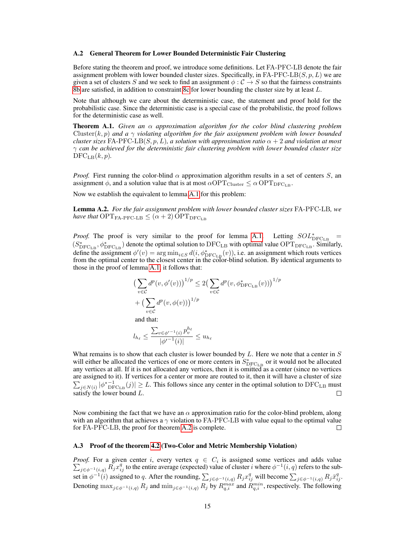#### <span id="page-1-0"></span>A.2 General Theorem for Lower Bounded Deterministic Fair Clustering

Before stating the theorem and proof, we introduce some definitions. Let FA-PFC-LB denote the fair assignment problem with lower bounded cluster sizes. Specifically, in FA-PFC-LB $(S, p, L)$  we are given a set of clusters S and we seek to find an assignment  $\phi : C \to S$  so that the fairness constraints 8b are satisfied, in addition to constraint 8c for lower bounding the cluster size by at least L.

Note that although we care about the deterministic case, the statement and proof hold for the probabilistic case. Since the deterministic case is a special case of the probabilistic, the proof follows for the deterministic case as well.

Theorem A.1. *Given an* α *approximation algorithm for the color blind clustering problem* Cluster(k, p) and a  $\gamma$  *violating algorithm for the fair assignment problem with lower bounded cluster sizes* FA-PFC-LB $(S, p, L)$ *, a solution with approximation ratio*  $\alpha + 2$  *and violation at most* γ *can be achieved for the deterministic fair clustering problem with lower bounded cluster size*  $\mathrm{DFC}_{\mathrm{LB}}(k,p).$ 

*Proof.* First running the color-blind  $\alpha$  approximation algorithm results in a set of centers S, an assignment  $\phi$ , and a solution value that is at most  $\alpha$ OPT<sub>Cluster</sub>  $\leq \alpha$  OPT<sub>DFC<sub>LB</sub>.</sub>

Now we establish the equivalent to lemma [A.1](#page-0-0) for this problem:

Lemma A.2. *For the fair assignment problem with lower bounded cluster sizes* FA-PFC-LB*, we have that*  $\text{OPT}_{\text{FA-PPC-LB}} \leq (\alpha + 2) \text{OPT}_{\text{DFC}_{\text{LB}}}$ 

*Proof.* The proof is very similar to the proof for lemma [A.1.](#page-0-0) Letting  $SOL<sup>*</sup><sub>DFCLB</sub>$  =  $(S_{\text{DFC}_{\text{LB}}}^*, \phi_{\text{DFC}_{\text{LB}}}^*)$  denote the optimal solution to  $\text{DFC}_{\text{LB}}$  with optimal value  $\text{OPT}_{\text{DFC}_{\text{LB}}}$ . Similarly, define the assignment  $\phi'(v) = \arg \min_{i \in S} d(i, \phi^*_{\text{DFC}_{\text{LB}}}(v))$ , i.e. an assignment which routs vertices from the optimal center to the closest center in the color-blind solution. By identical arguments to those in the proof of lemma [A.1,](#page-0-0) it follows that:

$$
\left(\sum_{v \in \mathcal{C}} d^p(v, \phi'(v))\right)^{1/p} \le 2\left(\sum_{v \in \mathcal{C}} d^p(v, \phi^*_{\text{DFC}_{\text{LB}}}(v))\right)^{1/p} + \left(\sum_{v \in \mathcal{C}} d^p(v, \phi(v))\right)^{1/p}
$$

and that:

$$
l_{h_{\ell}} \le \frac{\sum_{v \in \phi'^{-1}(i)} p_v^{h_{\ell}}}{|\phi'^{-1}(i)|} \le u_{h_{\ell}}
$$

What remains is to show that each cluster is lower bounded by  $L$ . Here we note that a center in  $S$ will either be allocated the vertices of one or more centers in  $S_{\text{DFC}_{\text{LB}}}^*$  or it would not be allocated any vertices at all. If it is not allocated any vertices, then it is omitted as a center (since no vertices are assigned to it). If vertices for a center or more are routed to it, then it will have a cluster of size  $\sum_{j \in N(i)} |\phi^*_{\text{DFC}_{\text{LB}}}(j)| \geq L$ . This follows since any center in the optimal solution to DFC<sub>LB</sub> must satisfy the lower bound  $L$ . П

Now combining the fact that we have an  $\alpha$  approximation ratio for the color-blind problem, along with an algorithm that achieves a  $\gamma$  violation to FA-PFC-LB with value equal to the optimal value for FA-PFC-LB, the proof for theorem [A.2](#page-1-0) is complete.  $\Box$ 

## A.3 Proof of the theorem 4.2 (Two-Color and Metric Membership Violation)

*Proof.* For a given center i, every vertex  $q \in C_i$  is assigned some vertices and adds value  $\sum_{j\in\phi^{-1}(i,q)} \tilde{R_j} x_{ij}^q$  to the entire average (expected) value of cluster i where  $\phi^{-1}(i,q)$  refers to the subset in  $\phi^{-1}(i)$  assigned to q. After the rounding,  $\sum_{j \in \phi^{-1}(i,q)} R_j x_{ij}^q$  will become  $\sum_{j \in \phi^{-1}(i,q)} R_j \bar{x}_{ij}^q$ . Denoting  $\max_{j \in \phi^{-1}(i,q)} R_j$  and  $\min_{j \in \phi^{-1}(i,q)} R_j$  by  $R_{q,i}^{max}$  and  $R_{q,i}^{min}$ , respectively. The following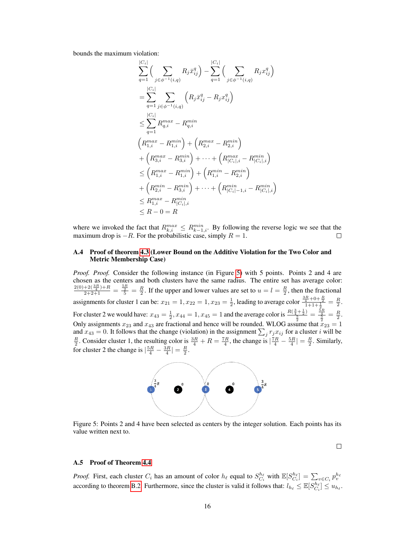bounds the maximum violation:

$$
\sum_{q=1}^{|C_i|} \left( \sum_{j \in \phi^{-1}(i,q)} R_j \bar{x}_{ij}^q \right) - \sum_{q=1}^{|C_i|} \left( \sum_{j \in \phi^{-1}(i,q)} R_j x_{ij}^q \right)
$$
\n
$$
= \sum_{q=1}^{|C_i|} \sum_{j \in \phi^{-1}(i,q)} \left( R_j \bar{x}_{ij}^q - R_j x_{ij}^q \right)
$$
\n
$$
\leq \sum_{q=1}^{|C_i|} R_{q,i}^{max} - R_{q,i}^{min}
$$
\n
$$
\left( R_{1,i}^{max} - R_{1,i}^{min} \right) + \left( R_{2,i}^{max} - R_{2,i}^{min} \right)
$$
\n
$$
+ \left( R_{3,i}^{max} - R_{3,i}^{min} \right) + \dots + \left( R_{|C_i|,i}^{max} - R_{|C_i|,i}^{min} \right)
$$
\n
$$
\leq \left( R_{1,i}^{max} - R_{1,i}^{min} \right) + \left( R_{1,i}^{min} - R_{2,i}^{min} \right)
$$
\n
$$
+ \left( R_{2,i}^{min} - R_{3,i}^{min} \right) + \dots + \left( R_{|C_i| - 1,i}^{min} - R_{|C_i|,i}^{min} \right)
$$
\n
$$
\leq R_{1,i}^{max} - R_{|C_i|,i}^{min}
$$
\n
$$
\leq R - 0 = R
$$

where we invoked the fact that  $R_{k,i}^{max} \leq R_{k-1,i}^{min}$ . By following the reverse logic we see that the maximum drop is  $-R$ . For the probabilistic case, simply  $R = 1$ .

### A.4 Proof of theorem 4.3 (Lower Bound on the Additive Violation for the Two Color and Metric Membership Case)

*Proof. Proof.* Consider the following instance (in Figure [5\)](#page-2-0) with 5 points. Points 2 and 4 are chosen as the centers and both clusters have the same radius. The entire set has average color:  $\frac{2(0)+2(\frac{3R}{4})+R}{2+2+1}=\frac{\frac{5R}{2}}{\frac{5}{2}}=\frac{R}{2}$ . If the upper and lower values are set to  $u=l=\frac{R}{2}$ , then the fractional assignments for cluster 1 can be:  $x_{21} = 1, x_{22} = 1, x_{23} = \frac{1}{2}$ , leading to average color  $\frac{\frac{3R}{4} + 0 + \frac{R}{2}}{1 + 1 + \frac{1}{2}} = \frac{R}{2}$ . For cluster 2 we would have:  $x_{43} = \frac{1}{2}$ ,  $x_{44} = 1$ ,  $x_{45} = 1$  and the average color is  $\frac{R(\frac{3}{4} + \frac{1}{2})}{\frac{5}{2}} = \frac{\frac{5R}{4}}{\frac{5}{2}} = \frac{R}{2}$ . Only assignments  $x_{23}$  and  $x_{43}$  are fractional and hence will be rounded. WLOG assume that  $x_{23} = 1$ and  $x_{43} = 0$ . It follows that the change (violation) in the assignment  $\sum_j r_j x_{ij}$  for a cluster i will be  $\frac{R}{2}$ . Consider cluster 1, the resulting color is  $\frac{3R}{4} + R = \frac{7R}{4}$ , the change is  $\left| \frac{7R}{4} - \frac{5R}{4} \right| = \frac{R}{2}$ . Similarly, for cluster 2 the change is  $\left|\frac{5R}{4} - \frac{3R}{4}\right| = \frac{R}{2}$ .



<span id="page-2-0"></span>Figure 5: Points 2 and 4 have been selected as centers by the integer solution. Each points has its value written next to.

 $\Box$ 

# A.5 Proof of Theorem 4.4

*Proof.* First, each cluster  $C_i$  has an amount of color  $h_\ell$  equal to  $S_{C_i}^{h_\ell}$  with  $\mathbb{E}[S_{C_i}^{h_\ell}] = \sum_{v \in C_i} p_v^{h_v}$  according to theorem [B.2.](#page-3-0) Furthermore, since the cluster is valid it follows that:  $l_{h_\ell} \leq \mathbb$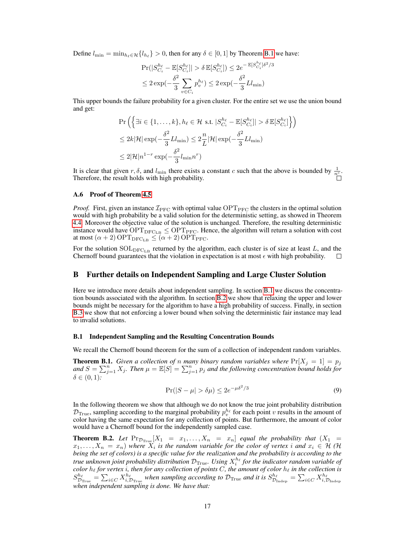Define  $l_{\min} = \min_{h_\ell \in \mathcal{H}} \{l_{h_\ell}\} > 0$ , then for any  $\delta \in [0, 1]$  by Theorem [B.1](#page-3-1) we have:

$$
\Pr(|S_{C_i}^{h_\ell} - \mathbb{E}[S_{C_i}^{h_\ell}]| > \delta \mathbb{E}[S_{C_i}^{h_\ell}]) \le 2e^{-\mathbb{E}[S_{C_i}^{h_\ell}]\delta^2/3}
$$
  

$$
\le 2\exp(-\frac{\delta^2}{3}\sum_{v \in C_i} p_v^{h_\ell}) \le 2\exp(-\frac{\delta^2}{3}Ll_{\min})
$$

This upper bounds the failure probability for a given cluster. For the entire set we use the union bound and get:

$$
\Pr\left(\left\{\exists i \in \{1, \dots, k\}, h_\ell \in \mathcal{H} \text{ s.t. } |S_{C_i}^{h_\ell} - \mathbb{E}[S_{C_i}^{h_\ell}]| > \delta \mathbb{E}[S_{C_i}^{h_\ell}] \right\}\right)
$$
  

$$
\leq 2k|\mathcal{H}| \exp(-\frac{\delta^2}{3}Ll_{\min}) \leq 2\frac{n}{L}|\mathcal{H}| \exp(-\frac{\delta^2}{3}Ll_{\min})
$$
  

$$
\leq 2|\mathcal{H}|n^{1-r} \exp(-\frac{\delta^2}{3}l_{\min}n^r)
$$

It is clear that given r,  $\delta$ , and  $l_{\min}$  there exists a constant c such that the above is bounded by  $\frac{1}{n^c}$ . Therefore, the result holds with high probability.

### A.6 Proof of Theorem 4.5

*Proof.* First, given an instance  $\mathcal{I}_{\text{PFC}}$  with optimal value  $\text{OPT}_{\text{PFC}}$  the clusters in the optimal solution would with high probability be a valid solution for the deterministic setting, as showed in Theorem 4.4. Moreover the objective value of the solution is unchanged. Therefore, the resulting deterministic instance would have  $OPT_{DFC_{LB}} \leq OPT_{PFC}$ . Hence, the algorithm will return a solution with cost at most  $(\alpha + 2)$  OPT<sub>DFC<sub>LB</sub>  $\leq (\alpha + 2)$  OPT<sub>PFC</sub>.</sub>

For the solution SOL<sub>DFC<sub>LB</sub> returned by the algorithm, each cluster is of size at least L, and the Chernoff bound guarantees that the violation in expectation is at most  $\epsilon$  with high probability.</sub> Chernoff bound guarantees that the violation in expectation is at most  $\epsilon$  with high probability.

## B Further details on Independent Sampling and Large Cluster Solution

Here we introduce more details about independent sampling. In section [B.1](#page-3-2) we discuss the concentration bounds associated with the algorithm. In section [B.2](#page-4-0) we show that relaxing the upper and lower bounds might be necessary for the algorithm to have a high probability of success. Finally, in section [B.3](#page-4-1) we show that not enforcing a lower bound when solving the deterministic fair instance may lead to invalid solutions.

### <span id="page-3-2"></span>B.1 Independent Sampling and the Resulting Concentration Bounds

We recall the Chernoff bound theorem for the sum of a collection of independent random variables.

<span id="page-3-1"></span>**Theorem B.1.** *Given a collection of n many binary random variables where*  $Pr[X_j = 1] = p_j$ and  $S = \sum_{j=1}^n X_j$ . Then  $\mu = \mathbb{E}[S] = \sum_{j=1}^n p_j$  and the following concentration bound holds for  $\delta \in (0,1)$ :

$$
\Pr(|S - \mu| > \delta \mu) \le 2e^{-\mu \delta^2/3} \tag{9}
$$

In the following theorem we show that although we do not know the true joint probability distribution  $\mathcal{D}_{\text{True}}$ , sampling according to the marginal probability  $p_v^{h_\ell}$  for each point v results in the amount of color having the same expectation for any collection of points. But furthermore, the amount of color would have a Chernoff bound for the independently sampled case.

<span id="page-3-0"></span>**Theorem B.2.** Let  $Pr_{\mathcal{D}_{True}}[X_1 = x_1, \ldots, X_n = x_n]$  equal the probability that  $(X_1 = x_1, \ldots, X_n)$  $(x_1, \ldots, X_n = x_n)$  where  $X_i$  is the random variable for the color of vertex i and  $x_i \in H$  (H *being the set of colors) is a specific value for the realization and the probability is according to the* true unknown joint probability distribution  $\mathcal{D}_{\text{True}}$ . Using  $X_i^{h_\ell}$  for the indicator random variable of  $color$   $h_\ell$  *for vertex i, then for any collection of points*  $C$ *, the amount of color*  $h_\ell$  *in the collection is*  $S_{\mathcal{D}_{\text{True}}}^{h_\ell} = \sum_{i \in C} X_{i,\mathcal{D}_{\text{True}}}^{h_\ell}$  when sampling according to  $\mathcal{D}_{\text{True}}$  and it is  $S_{\mathcal{D}_{\text{Indep}}}^{h_\ell} = \sum_{i \in C} X_{i,\mathcal{D}_{\text{Indep}}}^{h_\ell}$ *when independent sampling is done. We have that:*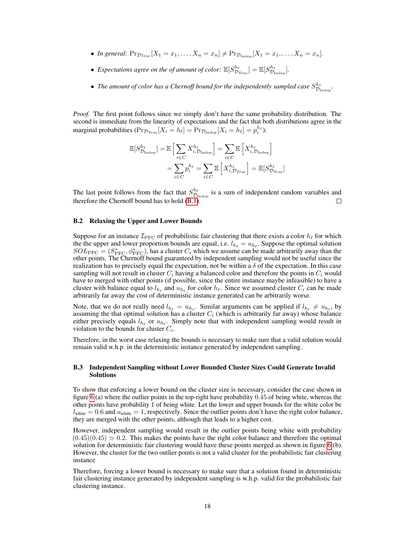- *In general:*  $Pr_{\mathcal{D}_{True}}[X_1 = x_1, \ldots, X_n = x_n] \neq Pr_{\mathcal{D}_{Indep}}[X_1 = x_1, \ldots, X_n = x_n]$ .
- Expectations agree on the of amount of color:  $\mathbb{E}[S^{h_\ell}_{\mathcal{D}_{\text{True}}}] = \mathbb{E}[S^{h_\ell}_{\mathcal{D}_{\text{Indep}}}]$ .
- The amount of color has a Chernoff bound for the independently sampled case  $S_{\mathcal{D}_{\text{Indep}}}^{h_\ell}$ .

*Proof.* The first point follows since we simply don't have the same probability distribution. The second is immediate from the linearity of expectations and the fact that both distributions agree in the marginal probabilities ( $\Pr_{\mathcal{D}_{\text{True}}}[X_i = h_\ell] = \Pr_{\mathcal{D}_{\text{Indep}}}[X_i = h_\ell] = p_i^{h_\ell}$ ):

$$
\mathbb{E}[S_{\mathcal{D}_{\text{Indep}}}^{h_{\ell}}] = \mathbb{E}\left[\sum_{i \in C} X_{i, \mathcal{D}_{\text{Indep}}}^{h_{\ell}}\right] = \sum_{i \in C} \mathbb{E}\left[X_{i, \mathcal{D}_{\text{Indep}}}^{h_{\ell}}\right]
$$

$$
= \sum_{i \in C} p_i^{h_{\ell}} = \sum_{i \in C} \mathbb{E}\left[X_{i, \mathcal{D}_{\text{True}}}^{h_{\ell}}\right] = \mathbb{E}[S_{\mathcal{D}_{\text{True}}}^{h_{\ell}}]
$$

The last point follows from the fact that  $S_{\mathcal{D}_{\text{Indep}}}^{h_{\ell}}$  is a sum of independent random variables and therefore the Chernoff bound has to hold [\(B.1\)](#page-3-1).  $\Box$ 

### <span id="page-4-0"></span>B.2 Relaxing the Upper and Lower Bounds

Suppose for an instance  $\mathcal{I}_{\text{PFC}}$  of probabilistic fair clustering that there exists a color  $h_\ell$  for which the the upper and lower proportion bounds are equal, i.e.  $l_{h_\ell} = u_{h_\ell}$ . Suppose the optimal solution  $SOL_{\text{PFC}} = (S_{\text{PFC}}^*, \phi_{\text{PFC}}^*)$ , has a cluster  $C_i$  which we assume can be made arbitrarily away than the other points. The Chernoff bound guaranteed by independent sampling would not be useful since the realization has to precisely equal the expectation, not be within a  $\delta$  of the expectation. In this case sampling will not result in cluster  $C_i$  having a balanced color and therefore the points in  $C_i$  would have to merged with other points (if possible, since the entire instance maybe infeasible) to have a cluster with balance equal to  $l_{h_\ell}$  and  $u_{h_\ell}$  for color  $h_\ell$ . Since we assumed cluster  $C_i$  can be made arbitrarily far away the cost of deterministic instance generated can be arbitrarily worse.

Note, that we do not really need  $l_{h_\ell} = u_{h_\ell}$ . Similar arguments can be applied if  $l_{h_\ell} \neq u_{h_\ell}$ , by assuming the that optimal solution has a cluster  $C_i$  (which is arbitrarily far away) whose balance either precisely equals  $l_{h_\ell}$  or  $u_{h_\ell}$ . Simply note that with independent sampling would result in violation to the bounds for cluster  $C_i$ .

Therefore, in the worst case relaxing the bounds is necessary to make sure that a valid solution would remain valid w.h.p. in the deterministic instance generated by independent sampling.

## <span id="page-4-1"></span>B.3 Independent Sampling without Lower Bounded Cluster Sizes Could Generate Invalid Solutions

To show that enforcing a lower bound on the cluster size is necessary, consider the case shown in figure [6:](#page-5-0)(a) where the outlier points in the top-right have probability 0.45 of being white, whereas the other points have probability 1 of being white. Let the lower and upper bounds for the white color be  $l_{\text{white}} = 0.6$  and  $u_{\text{white}} = 1$ , respectively. Since the outlier points don't have the right color balance, they are merged with the other points, although that leads to a higher cost.

However, independent sampling would result in the outlier points being white with probability  $(0.45)(0.45) \simeq 0.2$ . This makes the points have the right color balance and therefore the optimal solution for deterministic fair clustering would have these points merged as shown in figure [6:](#page-5-0)(b). However, the cluster for the two outlier points is not a valid cluster for the probabilistic fair clustering instance

Therefore, forcing a lower bound is necessary to make sure that a solution found in deterministic fair clustering instance generated by independent sampling is w.h.p. valid for the probabilistic fair clustering instance.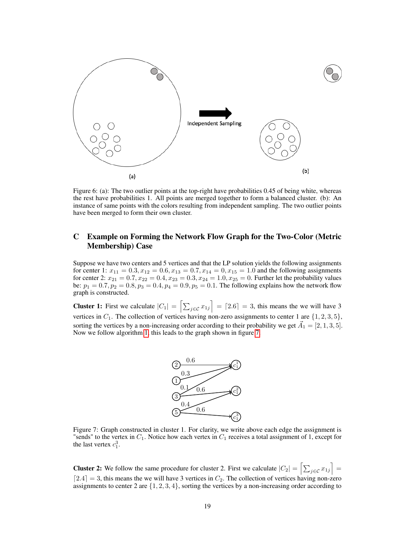<span id="page-5-0"></span>

Figure 6: (a): The two outlier points at the top-right have probabilities 0.45 of being white, whereas the rest have probabilities 1. All points are merged together to form a balanced cluster. (b): An instance of same points with the colors resulting from independent sampling. The two outlier points have been merged to form their own cluster.

# C Example on Forming the Network Flow Graph for the Two-Color (Metric Membership) Case

Suppose we have two centers and 5 vertices and that the LP solution yields the following assignments for center 1:  $x_{11} = 0.3, x_{12} = 0.6, x_{13} = 0.7, x_{14} = 0, x_{15} = 1.0$  and the following assignments for center 2:  $x_{21} = 0.7$ ,  $x_{22} = 0.4$ ,  $x_{23} = 0.3$ ,  $x_{24} = 1.0$ ,  $x_{25} = 0$ . Further let the probability values be:  $p_1 = 0.7, p_2 = 0.8, p_3 = 0.4, p_4 = 0.9, p_5 = 0.1$ . The following explains how the network flow graph is constructed.

<span id="page-5-1"></span>**Cluster 1:** First we calculate  $|C_1| = \left[\sum_{j \in \mathcal{C}} x_{1j}\right] = \left[2.6\right] = 3$ , this means the we will have 3 vertices in  $C_1$ . The collection of vertices having non-zero assignments to center 1 are  $\{1, 2, 3, 5\}$ , sorting the vertices by a non-increasing order according to their probability we get  $\vec{A}_1 = [2, 1, 3, 5]$ . Now we follow algorithm 1, this leads to the graph shown in figure [7.](#page-5-1)



Figure 7: Graph constructed in cluster 1. For clarity, we write above each edge the assignment is "sends" to the vertex in  $C_1$ . Notice how each vertex in  $C_1$  receives a total assignment of 1, except for the last vertex  $c_1^3$ .

**Cluster 2:** We follow the same procedure for cluster 2. First we calculate  $|C_2| = \left[\sum_{j \in \mathcal{C}} x_{1j}\right] =$  $[2.4] = 3$ , this means the we will have 3 vertices in  $C_2$ . The collection of vertices having non-zero assignments to center 2 are  $\{1, 2, 3, 4\}$ , sorting the vertices by a non-increasing order according to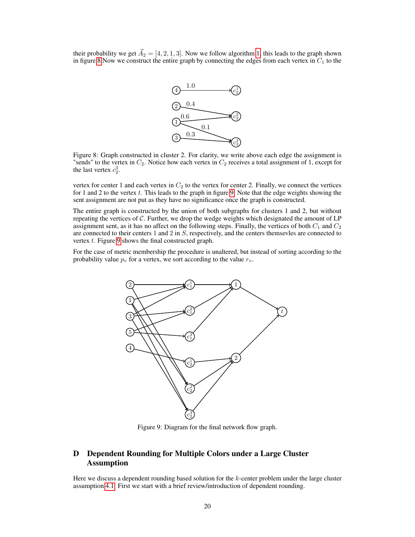<span id="page-6-0"></span>their probability we get  $\vec{A}_2 = [4, 2, 1, 3]$ . Now we follow algorithm 1, this leads to the graph shown in figure [8](#page-6-0) Now we construct the entire graph by connecting the edges from each vertex in  $C_1$  to the



Figure 8: Graph constructed in cluster 2. For clarity, we write above each edge the assignment is "sends" to the vertex in  $C_2$ . Notice how each vertex in  $C_2$  receives a total assignment of 1, except for the last vertex  $c_2^3$ .

vertex for center 1 and each vertex in  $C_2$  to the vertex for center 2. Finally, we connect the vertices for 1 and 2 to the vertex  $t$ . This leads to the graph in figure [9.](#page-6-1) Note that the edge weights showing the sent assignment are not put as they have no significance once the graph is constructed.

The entire graph is constructed by the union of both subgraphs for clusters 1 and 2, but without repeating the vertices of  $\mathcal C$ . Further, we drop the wedge weights which designated the amount of LP assignment sent, as it has no affect on the following steps. Finally, the vertices of both  $C_1$  and  $C_2$ are connected to their centers 1 and 2 in S, respectively, and the centers themsevles are connected to vertex t. Figure [9](#page-6-1) shows the final constructed graph.

<span id="page-6-1"></span>For the case of metric membership the procedure is unaltered, but instead of sorting according to the probability value  $p_v$  for a vertex, we sort according to the value  $r_v$ .



Figure 9: Diagram for the final network flow graph.

# D Dependent Rounding for Multiple Colors under a Large Cluster Assumption

Here we discuss a dependent rounding based solution for the  $k$ -center problem under the large cluster assumption 4.1. First we start with a brief review/introduction of dependent rounding.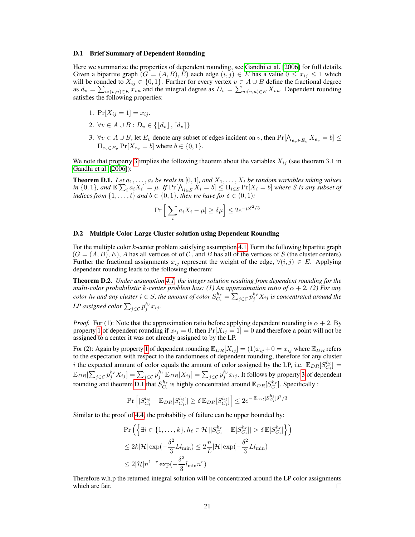### D.1 Brief Summary of Dependent Rounding

Here we summarize the properties of dependent rounding, see Gandhi et al. [2006] for full details. Given a bipartite graph  $(G = (A, B), E)$  each edge  $(i, j) \in E$  has a value  $0 \le x_{ij} \le 1$  which will be rounded to  $X_{ij} \in \{0,1\}$ . Further for every vertex  $v \in A \cup B$  define the fractional degree as  $d_v = \sum_{u:(v,u)\in E} x_{vu}$  and the integral degree as  $D_v = \sum_{u:(v,u)\in E} X_{vu}$ . Dependent rounding satisfies the following properties:

- <span id="page-7-1"></span>1.  $Pr[X_{ij} = 1] = x_{ij}$ .
- 2.  $\forall v \in A \cup B : D_v \in \{|d_v|, [d_v]\}\$
- <span id="page-7-0"></span>3. ∀v ∈  $A \cup B$ , let  $E_v$  denote any subset of edges incident on v, then  $Pr[\bigwedge_{e_v \in E_v} X_{e_v} = b]$  ≤  $\Pi_{e_0 \in E_0}$   $\Pr[X_{e_0} = b]$  where  $b \in \{0, 1\}.$

We note that property [3](#page-7-0) implies the following theorem about the variables  $X_{ij}$  (see theorem 3.1 in Gandhi et al. [2006]):

<span id="page-7-2"></span>**Theorem D.1.** Let  $a_1, \ldots, a_t$  be reals in [0, 1], and  $X_1, \ldots, X_t$  be random variables taking values  $\text{in } \{0,1\}$ , and  $\mathbb{E}[\sum_i a_i X_i] = \mu$ . If  $\Pr[\bigwedge_{i \in S} X_i = b] \leq \prod_{i \in S} \Pr[X_i = b]$  where S is any subset of *indices from*  $\{1, \ldots, t\}$  *and*  $b \in \{0, 1\}$ *, then we have for*  $\delta \in (0, 1)$ *:* 

$$
\Pr\left[|\sum_i a_i X_i - \mu| \ge \delta \mu\right] \le 2e^{-\mu \delta^2/3}
$$

### D.2 Multiple Color Large Cluster solution using Dependent Rounding

For the multiple color k-center problem satisfying assumption 4.1. Form the following bipartite graph  $(G = (A, B), E)$ , A has all vertices of of C, and B has all of the vertices of S (the cluster centers). Further the fractional assignments  $x_{ij}$  represent the weight of the edge,  $\forall (i, j) \in E$ . Applying dependent rounding leads to the following theorem:

Theorem D.2. *Under assumption 4.1, the integer solution resulting from dependent rounding for the multi-color probabilistic* k*-center problem has: (1) An approximation ratio of* α + 2*. (2) For any*  $color\ h_{\ell}$  and any cluster  $i \in S$ , the amount of color  $S^{h_\ell}_{C_i} = \sum_{j \in \mathcal{C}} p_j^{h_\ell} X_{ij}$  is concentrated around the LP assigned color  $\sum_{j \in \mathcal{C}} p_j^{h_\ell} x_{ij}$ .

*Proof.* For (1): Note that the approximation ratio before applying dependent rounding is  $\alpha + 2$ . By property [1](#page-7-1) of dependent rounding if  $x_{ij} = 0$ , then  $Pr[X_{ij} = 1] = 0$  and therefore a point will not be assigned to a center it was not already assigned to by the LP.

For (2): Again by property [1](#page-7-1) of dependent rounding  $\mathbb{E}_{DR}[X_{ij}] = (1)x_{ij} + 0 = x_{ij}$  where  $\mathbb{E}_{DR}$  refers to the expectation with respect to the randomness of dependent rounding, therefore for any cluster i the expected amount of color equals the amount of color assigned by the LP, i.e.  $\mathbb{E}_{DR}[S_{C_i}^{h_\ell}] =$  $\mathbb{E}_{DR}[\sum_{j\in\mathcal{C}}p_j^{h_\ell}X_{ij}]=\sum_{j\in\mathcal{C}}p_j^{h_\ell}\mathbb{E}_{DR}[X_{ij}]=\sum_{j\in\mathcal{C}}p_j^{h_\ell}x_{ij}.$  It follows by property [3](#page-7-0) of dependent rounding and theorem [D.1](#page-7-2) that  $S_{C_i}^{h_\ell}$  is highly concentrated around  $\mathbb{E}_{DR}[S_{C_i}^{h_\ell}].$  Specifically :

$$
\Pr\left[|S_{C_i}^{h_\ell}-\mathbb{E}_{DR}[S_{C_i}^{h_\ell}]|\geq \delta \mathbb{E}_{DR}[S_{C_i}^{h_\ell}]\right]\leq 2e^{-\mathbb{E}_{DR}[S_{C_i}^{h_\ell}]\delta^2/3}
$$

Similar to the proof of 4.4, the probability of failure can be upper bounded by:

$$
\Pr\left(\left\{\exists i \in \{1, \dots, k\}, h_\ell \in \mathcal{H} \, | \, |S_{C_i}^{h_\ell} - \mathbb{E}[S_{C_i}^{h_\ell}]| > \delta \, \mathbb{E}[S_{C_i}^{h_\ell}]\right\}\right)
$$
\n
$$
\leq 2k|\mathcal{H}| \exp(-\frac{\delta^2}{3}Ll_{\min}) \leq 2\frac{n}{L}|\mathcal{H}| \exp(-\frac{\delta^2}{3}Ll_{\min})
$$
\n
$$
\leq 2|\mathcal{H}|n^{1-r} \exp(-\frac{\delta^2}{3}l_{\min}n^r)
$$

Therefore w.h.p the returned integral solution will be concentrated around the LP color assignments which are fair. □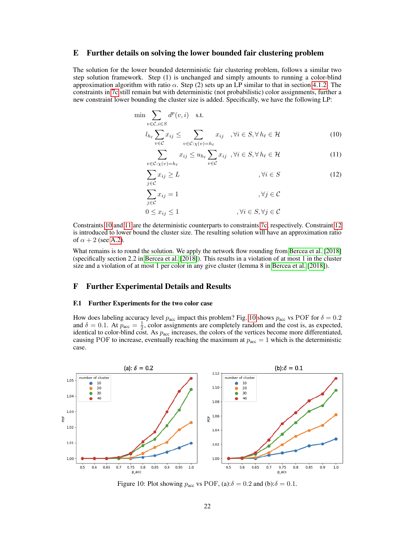## E Further details on solving the lower bounded fair clustering problem

The solution for the lower bounded deterministic fair clustering problem, follows a similar two step solution framework. Step (1) is unchanged and simply amounts to running a color-blind approximation algorithm with ratio  $\alpha$ . Step (2) sets up an LP similar to that in section 4.1.2. The constraints in 7c still remain but with deterministic (not probabilistic) color assignments, further a new constraint lower bounding the cluster size is added. Specifically, we have the following LP:

$$
\min \sum_{v \in \mathcal{C}, i \in S} d^p(v, i) \quad \text{s.t.}
$$
\n
$$
l_{h_\ell} \sum_{v \in \mathcal{C}} x_{ij} \le \sum_{v \in \mathcal{C}:\chi(v) = h_\ell} x_{ij} \quad , \forall i \in S, \forall h_\ell \in \mathcal{H}
$$
\n(10)

<span id="page-8-2"></span><span id="page-8-1"></span><span id="page-8-0"></span>
$$
\sum_{v \in \mathcal{C}:\chi(v)=h_{\ell}} x_{ij} \le u_{h_{\ell}} \sum_{v \in \mathcal{C}} x_{ij}, \forall i \in S, \forall h_{\ell} \in \mathcal{H}
$$
 (11)

$$
\sum_{j \in \mathcal{C}} x_{ij} \ge L \qquad , \forall i \in S \qquad (12)
$$

$$
\sum_{j \in \mathcal{C}} x_{ij} = 1 \qquad \qquad , \forall j \in \mathcal{C}
$$
  

$$
0 \le x_{ij} \le 1 \qquad \qquad , \forall i \in S, \forall j \in \mathcal{C}
$$

Constraints [10](#page-8-0) and [11](#page-8-1) are the deterministic counterparts to constraints 7c, respectively. Constraint [12](#page-8-2) is introduced to lower bound the cluster size. The resulting solution will have an approximation ratio of  $\alpha + 2$  (see [A.2\)](#page-1-0).

What remains is to round the solution. We apply the network flow rounding from Bercea et al. [2018] (specifically section 2.2 in Bercea et al. [2018]). This results in a violation of at most 1 in the cluster size and a violation of at most 1 per color in any give cluster (lemma 8 in Bercea et al. [2018]).

# F Further Experimental Details and Results

#### F.1 Further Experiments for the two color case

How does labeling accuracy level  $p_{\text{acc}}$  impact this problem? Fig. [10](#page-8-3) shows  $p_{\text{acc}}$  vs POF for  $\delta = 0.2$ and  $\delta = 0.1$ . At  $p_{\text{acc}} = \frac{1}{2}$ , color assignments are completely random and the cost is, as expected, identical to color-blind cost. As  $p_{\text{acc}}$  increases, the colors of the vertices become more differentiated, causing POF to increase, eventually reaching the maximum at  $p_{\text{acc}} = 1$  which is the deterministic case.

<span id="page-8-3"></span>

Figure 10: Plot showing  $p_{\text{acc}}$  vs POF, (a): $\delta = 0.2$  and (b): $\delta = 0.1$ .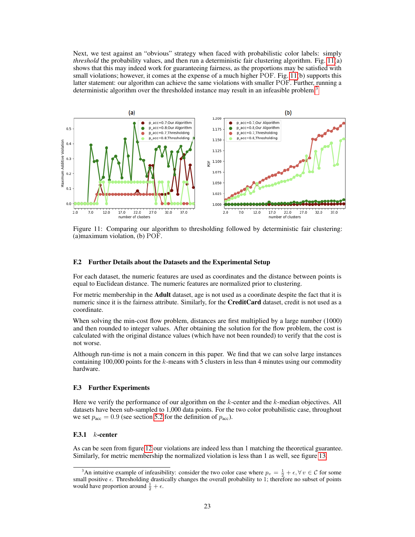Next, we test against an "obvious" strategy when faced with probabilistic color labels: simply *threshold* the probability values, and then run a deterministic fair clustering algorithm. Fig. [11\(](#page-9-0)a) shows that this may indeed work for guaranteeing fairness, as the proportions may be satisfied with small violations; however, it comes at the expense of a much higher POF. Fig. [11\(](#page-9-0)b) supports this latter statement: our algorithm can achieve the same violations with smaller POF. Further, running a deterministic algorithm over the thresholded instance may result in an infeasible problem.<sup>[3](#page-9-1)</sup>

<span id="page-9-0"></span>

Figure 11: Comparing our algorithm to thresholding followed by deterministic fair clustering: (a)maximum violation, (b) POF.

### F.2 Further Details about the Datasets and the Experimental Setup

For each dataset, the numeric features are used as coordinates and the distance between points is equal to Euclidean distance. The numeric features are normalized prior to clustering.

For metric membership in the **Adult** dataset, age is not used as a coordinate despite the fact that it is numeric since it is the fairness attribute. Similarly, for the **CreditCard** dataset, credit is not used as a coordinate.

When solving the min-cost flow problem, distances are first multiplied by a large number (1000) and then rounded to integer values. After obtaining the solution for the flow problem, the cost is calculated with the original distance values (which have not been rounded) to verify that the cost is not worse.

Although run-time is not a main concern in this paper. We find that we can solve large instances containing 100,000 points for the  $k$ -means with 5 clusters in less than 4 minutes using our commodity hardware.

## F.3 Further Experiments

Here we verify the performance of our algorithm on the  $k$ -center and the  $k$ -median objectives. All datasets have been sub-sampled to 1,000 data points. For the two color probabilistic case, throughout we set  $p_{\text{acc}} = 0.9$  (see section 5.2 for the definition of  $p_{\text{acc}}$ ).

### F.3.1  $k$ -center

As can be seen from figure [12](#page-10-0) our violations are indeed less than 1 matching the theoretical guarantee. Similarly, for metric membership the normalized violation is less than 1 as well, see figure [13.](#page-10-1)

<span id="page-9-1"></span><sup>&</sup>lt;sup>3</sup>An intuitive example of infeasibility: consider the two color case where  $p_v = \frac{1}{2} + \epsilon, \forall v \in C$  for some small positive  $\epsilon$ . Thresholding drastically changes the overall probability to 1; therefore no subset of points would have proportion around  $\frac{1}{2} + \epsilon$ .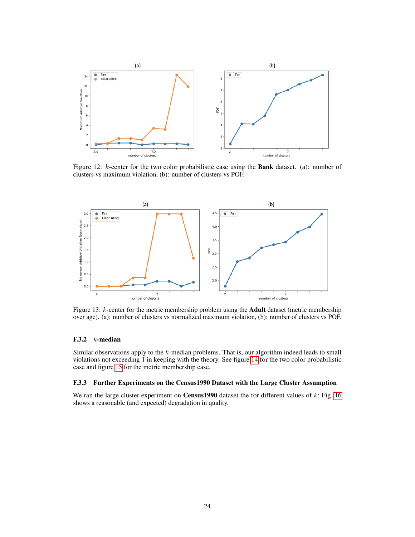<span id="page-10-0"></span>

Figure 12: k-center for the two color probabilistic case using the Bank dataset. (a): number of clusters vs maximum violation, (b): number of clusters vs POF.

<span id="page-10-1"></span>

Figure 13: k-center for the metric membership problem using the Adult dataset (metric membership over age). (a): number of clusters vs normalized maximum violation, (b): number of clusters vs POF.

## F.3.2  $k$ -median

Similar observations apply to the k-median problems. That is, our algorithm indeed leads to small violations not exceeding 1 in keeping with the theory. See figure [14](#page-11-0) for the two color probabilistic case and figure [15](#page-11-1) for the metric membership case.

### F.3.3 Further Experiments on the Census1990 Dataset with the Large Cluster Assumption

We ran the large cluster experiment on **Census1990** dataset the for different values of  $k$ ; Fig. [16](#page-11-2) shows a reasonable (and expected) degradation in quality.